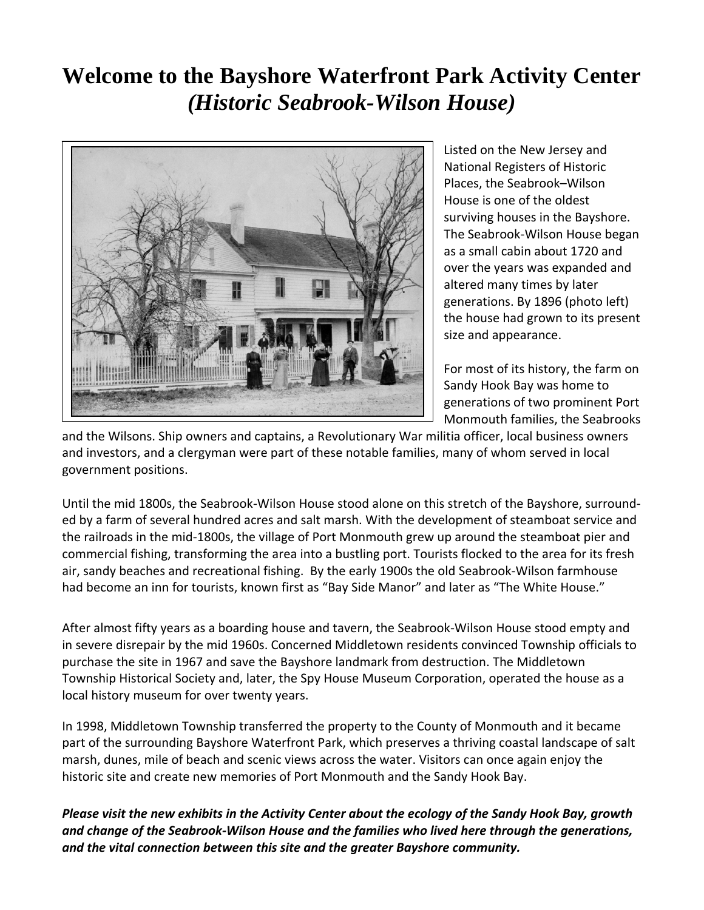# **Welcome to the Bayshore Waterfront Park Activity Center**  *(Historic Seabrook-Wilson House)*



Listed on the New Jersey and National Registers of Historic Places, the Seabrook–Wilson House is one of the oldest surviving houses in the Bayshore. The Seabrook‐Wilson House began as a small cabin about 1720 and over the years was expanded and altered many times by later generations. By 1896 (photo left) the house had grown to its present size and appearance.

For most of its history, the farm on Sandy Hook Bay was home to generations of two prominent Port Monmouth families, the Seabrooks

and the Wilsons. Ship owners and captains, a Revolutionary War militia officer, local business owners and investors, and a clergyman were part of these notable families, many of whom served in local government positions.

Until the mid 1800s, the Seabrook‐Wilson House stood alone on this stretch of the Bayshore, surround‐ ed by a farm of several hundred acres and salt marsh. With the development of steamboat service and the railroads in the mid‐1800s, the village of Port Monmouth grew up around the steamboat pier and commercial fishing, transforming the area into a bustling port. Tourists flocked to the area for its fresh air, sandy beaches and recreational fishing. By the early 1900s the old Seabrook‐Wilson farmhouse had become an inn for tourists, known first as "Bay Side Manor" and later as "The White House."

After almost fifty years as a boarding house and tavern, the Seabrook‐Wilson House stood empty and in severe disrepair by the mid 1960s. Concerned Middletown residents convinced Township officials to purchase the site in 1967 and save the Bayshore landmark from destruction. The Middletown Township Historical Society and, later, the Spy House Museum Corporation, operated the house as a local history museum for over twenty years.

In 1998, Middletown Township transferred the property to the County of Monmouth and it became part of the surrounding Bayshore Waterfront Park, which preserves a thriving coastal landscape of salt marsh, dunes, mile of beach and scenic views across the water. Visitors can once again enjoy the historic site and create new memories of Port Monmouth and the Sandy Hook Bay.

Please visit the new exhibits in the Activity Center about the ecology of the Sandy Hook Bay, growth *and change of the Seabrook‐Wilson House and the families who lived here through the generations, and the vital connection between this site and the greater Bayshore community.*